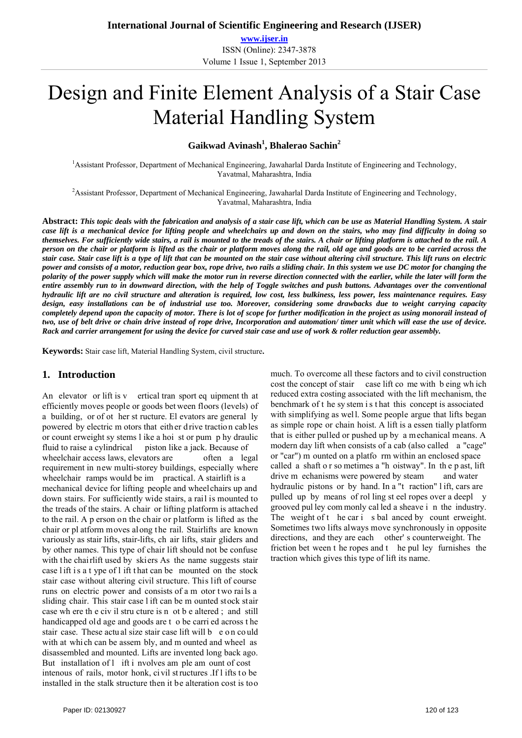**www.ijser.in** ISSN (Online): 2347-3878 Volume 1 Issue 1, September 2013

# Design and Finite Element Analysis of a Stair Case Material Handling System

**Gaikwad Avinash<sup>1</sup> , Bhalerao Sachin2**

<sup>1</sup> Assistant Professor, Department of Mechanical Engineering, Jawaharlal Darda Institute of Engineering and Technology, Yavatmal, Maharashtra, India

<sup>2</sup> Assistant Professor, Department of Mechanical Engineering, Jawaharlal Darda Institute of Engineering and Technology, Yavatmal, Maharashtra, India

**Abstract:** *This topic deals with the fabrication and analysis of a stair case lift, which can be use as Material Handling System. A stair case lift is a mechanical device for lifting people and wheelchairs up and down on the stairs, who may find difficulty in doing so themselves. For sufficiently wide stairs, a rail is mounted to the treads of the stairs. A chair or lifting platform is attached to the rail. A person on the chair or platform is lifted as the chair or platform moves along the rail, old age and goods are to be carried across the stair case. Stair case lift is a type of lift that can be mounted on the stair case without altering civil structure. This lift runs on electric power and consists of a motor, reduction gear box, rope drive, two rails a sliding chair. In this system we use DC motor for changing the polarity of the power supply which will make the motor run in reverse direction connected with the earlier, while the later will form the entire assembly run to in downward direction, with the help of Toggle switches and push buttons. Advantages over the conventional hydraulic lift are no civil structure and alteration is required, low cost, less bulkiness, less power, less maintenance requires. Easy design, easy installations can be of industrial use too. Moreover, considering some drawbacks due to weight carrying capacity completely depend upon the capacity of motor. There is lot of scope for further modification in the project as using monorail instead of two, use of belt drive or chain drive instead of rope drive, Incorporation and automation/ timer unit which will ease the use of device. Rack and carrier arrangement for using the device for curved stair case and use of work & roller reduction gear assembly.* 

**Keywords:** Stair case lift, Material Handling System, civil structure**.** 

#### **1. Introduction**

An elevator or lift is v ertical tran sport eq uipment th at efficiently moves people or goods bet ween floors (levels) of a building, or of ot her st ructure. El evators are general ly powered by electric m otors that eith er d rive tractio n cab les or count erweight sy stems l ike a hoi st or pum p hy draulic fluid to raise a cylindrical piston like a jack. Because of wheelchair access laws, elevators are often a legal requirement in new multi-storey buildings, especially where wheelchair ramps would be im practical. A stairlift is a mechanical device for lifting people and wheelchairs up and down stairs. For sufficiently wide stairs, a rail is mounted to the treads of the stairs. A chair or lifting platform is attached to the rail. A p erson on the chair or platform is lifted as the chair or pl atform moves along the rail. Stairlifts are known variously as stair lifts, stair-lifts, ch air lifts, stair gliders and by other names. This type of chair lift should not be confuse with the chairlift used by skiers As the name suggests stair case lift is a t ype of l ift that can be mounted on the stock stair case without altering civil structure. This lift of course runs on electric power and consists of a m otor t wo rai ls a sliding chair. This stair case l ift can be m ounted stock stair case wh ere th e civ il stru cture is n ot b e altered ; and still handicapped old age and goods are t o be carri ed across t he stair case. These actual size stair case lift will b e on could with at which can be assem bly, and m ounted and wheel as disassembled and mounted. Lifts are invented long back ago. But installation of l ift i nvolves am ple am ount of cost intenous of rails, motor honk, ci vil structures .If l ifts to be installed in the stalk structure then it be alteration cost is too much. To overcome all these factors and to civil construction cost the concept of stair case lift co me with b eing wh ich reduced extra costing associated with the lift mechanism, the benchmark of t he sy stem i s t hat this concept is associated with simplifying as well. Some people argue that lifts began as simple rope or chain hoist. A lift is a essen tially platform that is either pulled or pushed up by a mechanical means. A modern day lift when consists of a cab (also called a "cage" or "car") m ounted on a platfo rm within an enclosed space called a shaft o r so metimes a "h oistway". In th e p ast, lift drive m echanisms were powered by steam and water hydraulic pistons or by hand. In a "t raction" l ift, cars are pulled up by means of rol ling st eel ropes over a deepl y grooved pul ley com monly cal led a sheave i n the industry. The weight of t he car i s bal anced by count erweight. Sometimes two lifts always move synchronously in opposite directions, and they are each other' s counterweight. The friction bet ween t he ropes and t he pul ley furnishes the traction which gives this type of lift its name.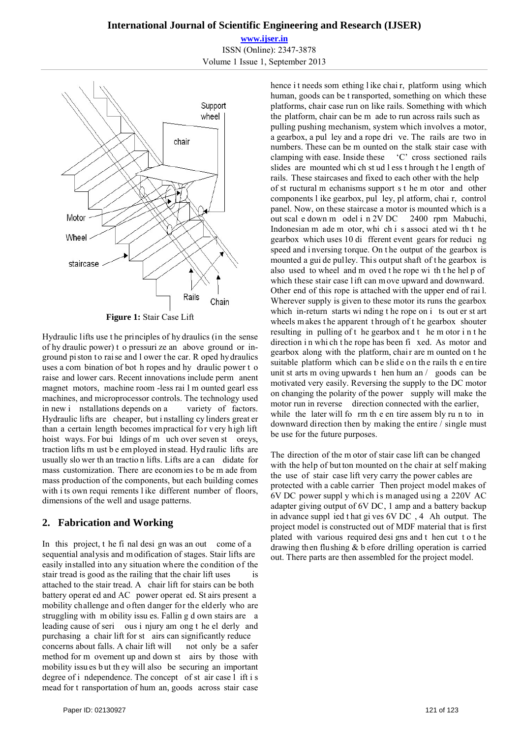**www.ijser.in** ISSN (Online): 2347-3878 Volume 1 Issue 1, September 2013



Hydraulic lifts use t he principles of hy draulics (in the sense of hy draulic power) t o pressuri ze an above ground or inground piston to raise and l ower the car. R oped hydraulics uses a com bination of bot h ropes and hy draulic power t o raise and lower cars. Recent innovations include perm anent magnet motors, machine room -less rai l m ounted gearl ess machines, and microprocessor controls. The technology used in new i nstallations depends on a variety of factors. Hydraulic lifts are cheaper, but i nstalling cy linders great er than a certain length becomes impractical for very high lift hoist ways. For bui ldings of m uch over seven st oreys, traction lifts m ust b e em ployed in stead. Hyd raulic lifts are usually slo wer th an tractio n lifts. Lifts are a can didate for mass customization. There are economies to be m ade from mass production of the components, but each building comes with i ts own requi rements l ike different number of floors, dimensions of the well and usage patterns.

## **2. Fabrication and Working**

In this project, t he fi nal desi gn was an out come of a sequential analysis and m odification of stages. Stair lifts are easily installed into any situation where the condition of the stair tread is good as the railing that the chair lift uses is attached to the stair tread. A chair lift for stairs can be both battery operat ed and AC power operat ed. St airs present a mobility challenge and often danger for the elderly who are struggling with m obility issu es. Fallin g d own stairs are a leading cause of seri ous i njury am ong t he el derly and purchasing a chair lift for st airs can significantly reduce concerns about falls. A chair lift will not only be a safer method for m ovement up and down st airs by those with mobility issues but they will also be securing an important degree of i ndependence. The concept of st air case l ift i s mead for t ransportation of hum an, goods across stair case

hence it needs som ething like chair, platform using which human, goods can be t ransported, something on which these platforms, chair case run on like rails. Something with which the platform, chair can be m ade to run across rails such as pulling pushing mechanism, system which involves a motor, a gearbox, a pul ley and a rope dri ve. The rails are two in numbers. These can be m ounted on the stalk stair case with clamping with ease. Inside these 'C' cross sectioned rails slides are mounted whi ch st ud l ess t hrough t he l ength of rails. These staircases and fixed to each other with the help of st ructural m echanisms support s t he m otor and other components l ike gearbox, pul ley, pl atform, chai r, control panel. Now, on these staircase a motor is mounted which is a out scal e down m odel i n 2V DC 2400 rpm Mabuchi, Indonesian m ade m otor, whi ch i s associ ated wi th t he gearbox which uses 10 di fferent event gears for reduci ng speed and i nversing torque. On t he output of the gearbox is mounted a gui de pulley. This output shaft of t he gearbox is also used to wheel and m oved t he rope wi th t he hel p of which these stair case lift can move upward and downward. Other end of this rope is attached with the upper end of rai l. Wherever supply is given to these motor its runs the gearbox which in-return starts wi nding t he rope on i ts out er st art wheels makes the apparent through of the gearbox shouter resulting in pulling of t he gearbox and t he m otor i n t he direction in whi ch the rope has been fi xed. As motor and gearbox along with the platform, chai r are m ounted on t he suitable platform which can be slide on the rails the entire unit st arts m oving upwards t hen hum an / goods can be motivated very easily. Reversing the supply to the DC motor on changing the polarity of the power supply will make the motor run in reverse direction connected with the earlier, while the later will form the entire assembly run to in downward direction then by making the entire / single must be use for the future purposes.

The direction of the m otor of stair case lift can be changed with the help of but ton mounted on the chair at self making the use of stair case lift very carry the power cables are protected with a cable carrier Then project model makes of 6V DC power suppl y whi ch i s managed usi ng a 220V AC adapter giving output of 6V DC, 1 amp and a battery backup in advance suppl ied t hat gi ves 6V DC , 4 Ah output. The project model is constructed out of MDF material that is first plated with various required desi gns and t hen cut t o t he drawing then flushing & b efore drilling operation is carried out. There parts are then assembled for the project model.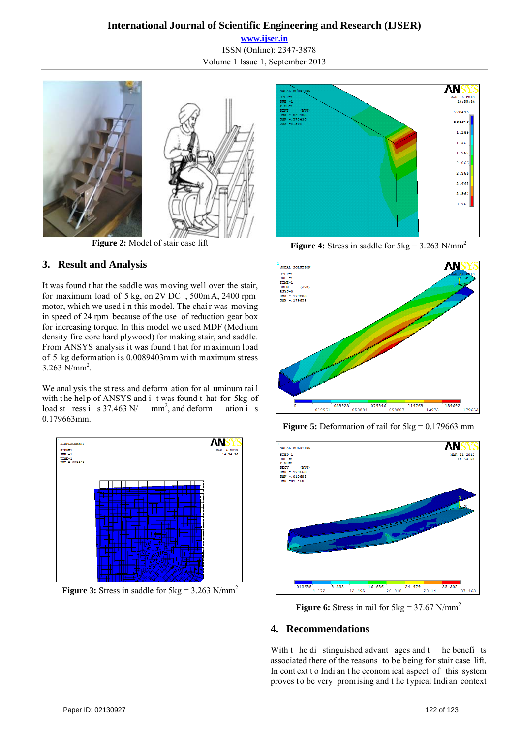# **International Journal of Scientific Engineering and Research (IJSER)**

**www.ijser.in** ISSN (Online): 2347-3878 Volume 1 Issue 1, September 2013



**Figure 2:** Model of stair case lift

# **3. Result and Analysis**

It was found t hat the saddle was moving well over the stair, for maximum load of 5 kg, on 2V DC , 500m A, 2400 rpm motor, which we used i n this model. The chai r was moving in speed of 24 rpm because of the use of reduction gear box for increasing torque. In this model we u sed MDF (Med ium density fire core hard plywood) for making stair, and saddle. From ANSYS analysis it was found t hat for m aximum load of 5 kg deformation is 0.0089403mm with maximum stress  $3.263$  N/mm<sup>2</sup>.

We anal ysis t he st ress and deform ation for al uminum rai l with the help of ANSYS and i t was found t hat for 5kg of load st ress i s  $37.463$  N/  $mm<sup>2</sup>$ , and deform ation i s 0.179663mm.



**Figure 3:** Stress in saddle for  $5kg = 3.263$  N/mm<sup>2</sup>



**Figure 4:** Stress in saddle for  $5kg = 3.263$  N/mm<sup>2</sup>



**Figure 5:** Deformation of rail for  $5kg = 0.179663$  mm



**Figure 6:** Stress in rail for  $5\text{kg} = 37.67 \text{ N/mm}^2$ 

## **4. Recommendations**

With t he di stinguished advant ages and t he benefits associated there of the reasons to be being for stair case lift. In cont ext t o Indi an t he econom ical aspect of this system proves to be very promising and the typical Indian context